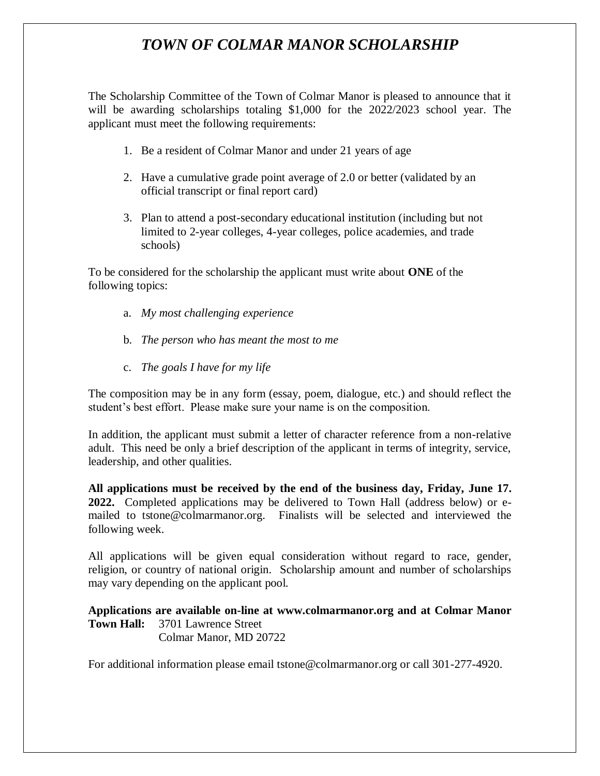## *TOWN OF COLMAR MANOR SCHOLARSHIP*

The Scholarship Committee of the Town of Colmar Manor is pleased to announce that it will be awarding scholarships totaling \$1,000 for the 2022/2023 school year. The applicant must meet the following requirements:

- 1. Be a resident of Colmar Manor and under 21 years of age
- 2. Have a cumulative grade point average of 2.0 or better (validated by an official transcript or final report card)
- 3. Plan to attend a post-secondary educational institution (including but not limited to 2-year colleges, 4-year colleges, police academies, and trade schools)

To be considered for the scholarship the applicant must write about **ONE** of the following topics:

- a. *My most challenging experience*
- b. *The person who has meant the most to me*
- c. *The goals I have for my life*

The composition may be in any form (essay, poem, dialogue, etc.) and should reflect the student's best effort. Please make sure your name is on the composition.

In addition, the applicant must submit a letter of character reference from a non-relative adult. This need be only a brief description of the applicant in terms of integrity, service, leadership, and other qualities.

**All applications must be received by the end of the business day, Friday, June 17. 2022.** Completed applications may be delivered to Town Hall (address below) or emailed to tstone@colmarmanor.org. Finalists will be selected and interviewed the following week.

All applications will be given equal consideration without regard to race, gender, religion, or country of national origin. Scholarship amount and number of scholarships may vary depending on the applicant pool.

**Applications are available on-line at www.colmarmanor.org and at Colmar Manor Town Hall:** 3701 Lawrence Street Colmar Manor, MD 20722

For additional information please email tstone@colmarmanor.org or call 301-277-4920.